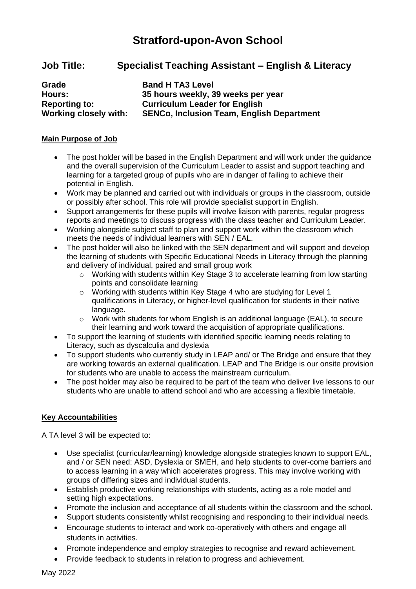# **Stratford-upon-Avon School**

## **Job Title: Specialist Teaching Assistant – English & Literacy**

| Grade                        | <b>Band H TA3 Level</b>                          |
|------------------------------|--------------------------------------------------|
| Hours:                       | 35 hours weekly, 39 weeks per year               |
| <b>Reporting to:</b>         | <b>Curriculum Leader for English</b>             |
| <b>Working closely with:</b> | <b>SENCo, Inclusion Team, English Department</b> |

## **Main Purpose of Job**

- The post holder will be based in the English Department and will work under the guidance and the overall supervision of the Curriculum Leader to assist and support teaching and learning for a targeted group of pupils who are in danger of failing to achieve their potential in English.
- Work may be planned and carried out with individuals or groups in the classroom, outside or possibly after school. This role will provide specialist support in English.
- Support arrangements for these pupils will involve liaison with parents, regular progress reports and meetings to discuss progress with the class teacher and Curriculum Leader.
- Working alongside subject staff to plan and support work within the classroom which meets the needs of individual learners with SEN / EAL.
- The post holder will also be linked with the SEN department and will support and develop the learning of students with Specific Educational Needs in Literacy through the planning and delivery of individual, paired and small group work
	- o Working with students within Key Stage 3 to accelerate learning from low starting points and consolidate learning
	- o Working with students within Key Stage 4 who are studying for Level 1 qualifications in Literacy, or higher-level qualification for students in their native language.
	- $\circ$  Work with students for whom English is an additional language (EAL), to secure their learning and work toward the acquisition of appropriate qualifications.
- To support the learning of students with identified specific learning needs relating to Literacy, such as dyscalculia and dyslexia
- To support students who currently study in LEAP and/ or The Bridge and ensure that they are working towards an external qualification. LEAP and The Bridge is our onsite provision for students who are unable to access the mainstream curriculum.
- The post holder may also be required to be part of the team who deliver live lessons to our students who are unable to attend school and who are accessing a flexible timetable.

## **Key Accountabilities**

A TA level 3 will be expected to:

- Use specialist (curricular/learning) knowledge alongside strategies known to support EAL, and / or SEN need: ASD, Dyslexia or SMEH, and help students to over-come barriers and to access learning in a way which accelerates progress. This may involve working with groups of differing sizes and individual students.
- Establish productive working relationships with students, acting as a role model and setting high expectations.
- Promote the inclusion and acceptance of all students within the classroom and the school.
- Support students consistently whilst recognising and responding to their individual needs.
- Encourage students to interact and work co-operatively with others and engage all students in activities.
- Promote independence and employ strategies to recognise and reward achievement.
- Provide feedback to students in relation to progress and achievement.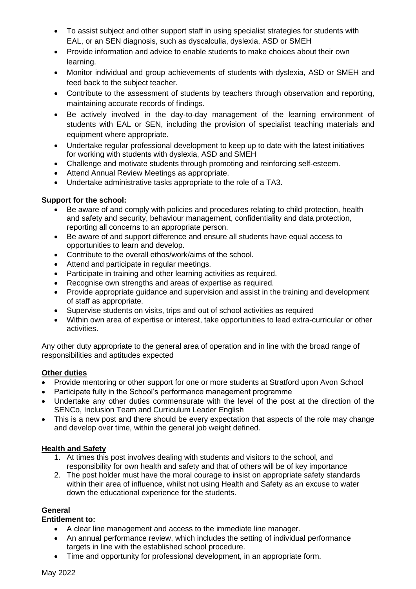- To assist subject and other support staff in using specialist strategies for students with EAL, or an SEN diagnosis, such as dyscalculia, dyslexia, ASD or SMEH
- Provide information and advice to enable students to make choices about their own learning.
- Monitor individual and group achievements of students with dyslexia, ASD or SMEH and feed back to the subject teacher.
- Contribute to the assessment of students by teachers through observation and reporting, maintaining accurate records of findings.
- Be actively involved in the day-to-day management of the learning environment of students with EAL or SEN, including the provision of specialist teaching materials and equipment where appropriate.
- Undertake regular professional development to keep up to date with the latest initiatives for working with students with dyslexia, ASD and SMEH
- Challenge and motivate students through promoting and reinforcing self-esteem.
- Attend Annual Review Meetings as appropriate.
- Undertake administrative tasks appropriate to the role of a TA3.

## **Support for the school:**

- Be aware of and comply with policies and procedures relating to child protection, health and safety and security, behaviour management, confidentiality and data protection, reporting all concerns to an appropriate person.
- Be aware of and support difference and ensure all students have equal access to opportunities to learn and develop.
- Contribute to the overall ethos/work/aims of the school.
- Attend and participate in regular meetings.
- Participate in training and other learning activities as required.
- Recognise own strengths and areas of expertise as required.
- Provide appropriate guidance and supervision and assist in the training and development of staff as appropriate.
- Supervise students on visits, trips and out of school activities as required
- Within own area of expertise or interest, take opportunities to lead extra-curricular or other activities.

Any other duty appropriate to the general area of operation and in line with the broad range of responsibilities and aptitudes expected

### **Other duties**

- Provide mentoring or other support for one or more students at Stratford upon Avon School
- Participate fully in the School's performance management programme
- Undertake any other duties commensurate with the level of the post at the direction of the SENCo, Inclusion Team and Curriculum Leader English
- This is a new post and there should be every expectation that aspects of the role may change and develop over time, within the general job weight defined.

## **Health and Safety**

- 1. At times this post involves dealing with students and visitors to the school, and responsibility for own health and safety and that of others will be of key importance
- 2. The post holder must have the moral courage to insist on appropriate safety standards within their area of influence, whilst not using Health and Safety as an excuse to water down the educational experience for the students.

## **General**

### **Entitlement to:**

- A clear line management and access to the immediate line manager.
- An annual performance review, which includes the setting of individual performance targets in line with the established school procedure.
- Time and opportunity for professional development, in an appropriate form.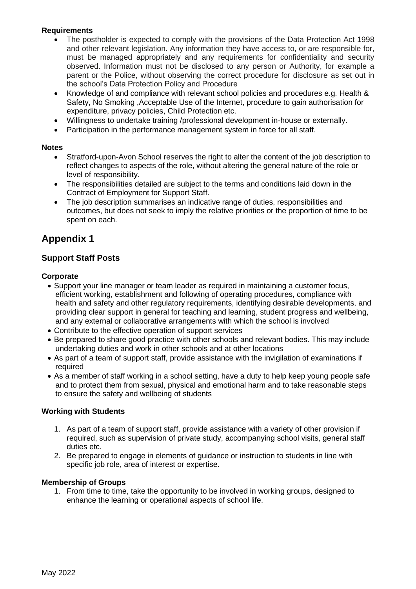## **Requirements**

- The postholder is expected to comply with the provisions of the Data Protection Act 1998 and other relevant legislation. Any information they have access to, or are responsible for, must be managed appropriately and any requirements for confidentiality and security observed. Information must not be disclosed to any person or Authority, for example a parent or the Police, without observing the correct procedure for disclosure as set out in the school's Data Protection Policy and Procedure
- Knowledge of and compliance with relevant school policies and procedures e.g. Health & Safety, No Smoking ,Acceptable Use of the Internet, procedure to gain authorisation for expenditure, privacy policies, Child Protection etc.
- Willingness to undertake training /professional development in-house or externally.
- Participation in the performance management system in force for all staff.

#### **Notes**

- Stratford-upon-Avon School reserves the right to alter the content of the job description to reflect changes to aspects of the role, without altering the general nature of the role or level of responsibility.
- The responsibilities detailed are subject to the terms and conditions laid down in the Contract of Employment for Support Staff.
- The job description summarises an indicative range of duties, responsibilities and outcomes, but does not seek to imply the relative priorities or the proportion of time to be spent on each.

## **Appendix 1**

## **Support Staff Posts**

### **Corporate**

- Support your line manager or team leader as required in maintaining a customer focus, efficient working, establishment and following of operating procedures, compliance with health and safety and other regulatory requirements, identifying desirable developments, and providing clear support in general for teaching and learning, student progress and wellbeing, and any external or collaborative arrangements with which the school is involved
- Contribute to the effective operation of support services
- Be prepared to share good practice with other schools and relevant bodies. This may include undertaking duties and work in other schools and at other locations
- As part of a team of support staff, provide assistance with the invigilation of examinations if required
- As a member of staff working in a school setting, have a duty to help keep young people safe and to protect them from sexual, physical and emotional harm and to take reasonable steps to ensure the safety and wellbeing of students

### **Working with Students**

- 1. As part of a team of support staff, provide assistance with a variety of other provision if required, such as supervision of private study, accompanying school visits, general staff duties etc.
- 2. Be prepared to engage in elements of guidance or instruction to students in line with specific job role, area of interest or expertise.

#### **Membership of Groups**

1. From time to time, take the opportunity to be involved in working groups, designed to enhance the learning or operational aspects of school life.